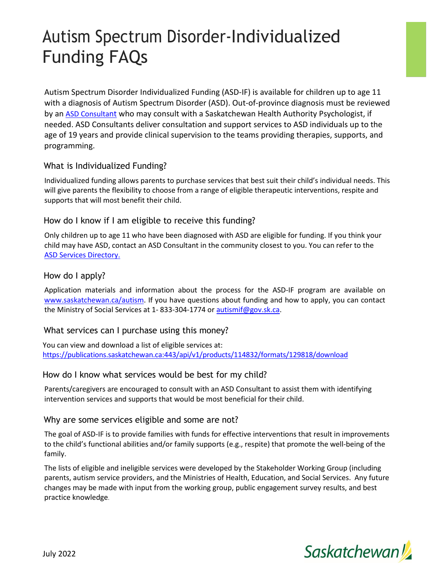# Autism Spectrum Disorder-Individualized Funding FAQs

Autism Spectrum Disorder Individualized Funding (ASD-IF) is available for children up to age 11 with a diagnosis of Autism Spectrum Disorder (ASD). Out-of-province diagnosis must be reviewed by an [ASD Consultant](https://publications.saskatchewan.ca/api/v1/products/89623/formats/106463/download) who may consult with a Saskatchewan Health Authority Psychologist, if needed. ASD Consultants deliver consultation and support services to ASD individuals up to the age of 19 years and provide clinical supervision to the teams providing therapies, supports, and programming.

# What is Individualized Funding?

Individualized funding allows parents to purchase services that best suit their child's individual needs. This will give parents the flexibility to choose from a range of eligible therapeutic interventions, respite and supports that will most benefit their child.

# How do I know if I am eligible to receive this funding?

Only children up to age 11 who have been diagnosed with ASD are eligible for funding. If you think your child may have ASD, contact an ASD Consultant in the community closest to you. You can refer to the [ASD Services Directory.](http://www.publications.gov.sk.ca/redirect.cfm?p=89623&i=106463)

## How do I apply?

Application materials and information about the process for the ASD-IF program are available on [www.saskatchewan.ca/autism.](http://www.saskatchewan.ca/autism) If you have questions about funding and how to apply, you can contact the Ministry of Social Services at 1- 833-304-1774 o[r autismif@gov.sk.ca.](mailto:autismif@gov.sk.ca)

# What services can I purchase using this money?

You can view and download a list of eligible services at: [https://publications.saskatchewan.ca:443/api/v1/products/114832/formats/129818/download](https://publications.saskatchewan.ca/api/v1/products/114832/formats/129818/download)

## How do I know what services would be best for my child?

Parents/caregivers are encouraged to consult with an ASD Consultant to assist them with identifying intervention services and supports that would be most beneficial for their child.

## Why are some services eligible and some are not?

The goal of ASD-IF is to provide families with funds for effective interventions that result in improvements to the child's functional abilities and/or family supports (e.g., respite) that promote the well-being of the family.

The lists of eligible and ineligible services were developed by the Stakeholder Working Group (including parents, autism service providers, and the Ministries of Health, Education, and Social Services. Any future changes may be made with input from the working group, public engagement survey results, and best practice knowledge.

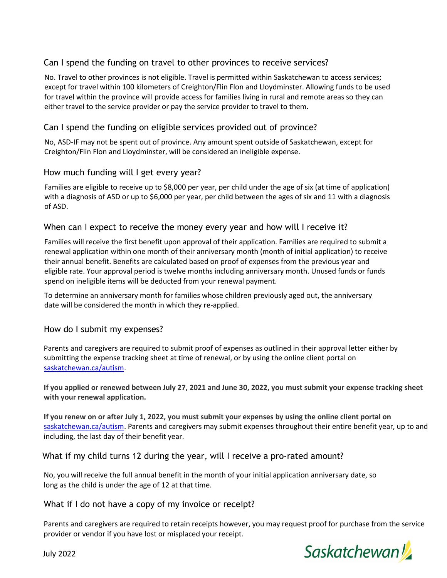# Can I spend the funding on travel to other provinces to receive services?

No. Travel to other provinces is not eligible. Travel is permitted within Saskatchewan to access services; except for travel within 100 kilometers of Creighton/Flin Flon and Lloydminster. Allowing funds to be used for travel within the province will provide access for families living in rural and remote areas so they can either travel to the service provider or pay the service provider to travel to them.

# Can I spend the funding on eligible services provided out of province?

No, ASD-IF may not be spent out of province. Any amount spent outside of Saskatchewan, except for Creighton/Flin Flon and Lloydminster, will be considered an ineligible expense.

## How much funding will I get every year?

Families are eligible to receive up to \$8,000 per year, per child under the age of six (at time of application) with a diagnosis of ASD or up to \$6,000 per year, per child between the ages of six and 11 with a diagnosis of ASD.

## When can I expect to receive the money every year and how will I receive it?

Families will receive the first benefit upon approval of their application. Families are required to submit a renewal application within one month of their anniversary month (month of initial application) to receive their annual benefit. Benefits are calculated based on proof of expenses from the previous year and eligible rate. Your approval period is twelve months including anniversary month. Unused funds or funds spend on ineligible items will be deducted from your renewal payment.

To determine an anniversary month for families whose children previously aged out, the anniversary date will be considered the month in which they re-applied.

#### How do I submit my expenses?

Parents and caregivers are required to submit proof of expenses as outlined in their approval letter either by submitting the expense tracking sheet at time of renewal, or by using the online client portal on [saskatchewan.ca/autism.](http://www.saskatchewan.ca/autism)

**If you applied or renewed between July 27, 2021 and June 30, 2022, you must submit your expense tracking sheet with your renewal application.**

**If you renew on or after July 1, 2022, you must submit your expenses by using the online client portal on**  [saskatchewan.ca/autism.](http://www.saskatchewan.ca/autism) Parents and caregivers may submit expenses throughout their entire benefit year, up to and including, the last day of their benefit year.

#### What if my child turns 12 during the year, will I receive a pro-rated amount?

No, you will receive the full annual benefit in the month of your initial application anniversary date, so long as the child is under the age of 12 at that time.

#### What if I do not have a copy of my invoice or receipt?

Parents and caregivers are required to retain receipts however, you may request proof for purchase from the service provider or vendor if you have lost or misplaced your receipt.